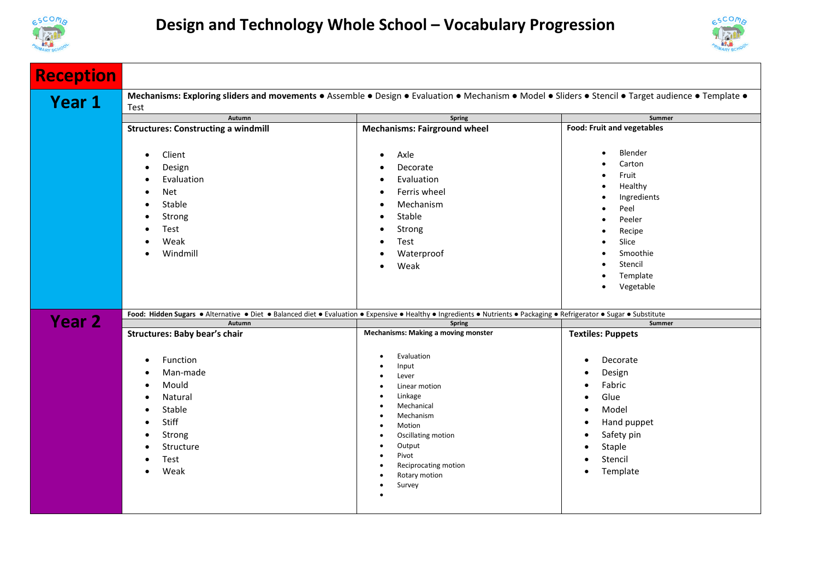



| <b>Reception</b> |                                                                                                                                                                       |                                                                                                                                                                                                                                                                       |                                                                                                                                                                                                  |
|------------------|-----------------------------------------------------------------------------------------------------------------------------------------------------------------------|-----------------------------------------------------------------------------------------------------------------------------------------------------------------------------------------------------------------------------------------------------------------------|--------------------------------------------------------------------------------------------------------------------------------------------------------------------------------------------------|
| <b>Year 1</b>    | Mechanisms: Exploring sliders and movements . Assemble . Design . Evaluation . Mechanism . Model . Sliders . Stencil . Target audience . Template .<br>Test           |                                                                                                                                                                                                                                                                       |                                                                                                                                                                                                  |
|                  | Autumn                                                                                                                                                                | Spring                                                                                                                                                                                                                                                                | Summer                                                                                                                                                                                           |
|                  | <b>Structures: Constructing a windmill</b>                                                                                                                            | <b>Mechanisms: Fairground wheel</b>                                                                                                                                                                                                                                   | <b>Food: Fruit and vegetables</b>                                                                                                                                                                |
|                  | Client<br>$\bullet$<br>Design<br>Evaluation<br>Net<br>Stable<br>Strong<br>Test<br>Weak<br>Windmill                                                                    | Axle<br>$\bullet$<br>Decorate<br>Evaluation<br>Ferris wheel<br>Mechanism<br>Stable<br>Strong<br>Test<br>$\bullet$<br>Waterproof<br>Weak<br>$\bullet$                                                                                                                  | Blender<br>$\bullet$<br>Carton<br>Fruit<br>Healthy<br>Ingredients<br>Peel<br>Peeler<br>Recipe<br>Slice<br>Smoothie<br>Stencil<br>Template<br>Vegetable<br>$\bullet$                              |
| <b>Year 2</b>    | Food: Hidden Sugars . Alternative . Diet . Balanced diet . Evaluation . Expensive . Healthy . Ingredients . Nutrients . Packaging . Refrigerator . Sugar . Substitute |                                                                                                                                                                                                                                                                       |                                                                                                                                                                                                  |
|                  | Autumn                                                                                                                                                                | Spring                                                                                                                                                                                                                                                                | Summer                                                                                                                                                                                           |
|                  | <b>Structures: Baby bear's chair</b><br>Function<br>Man-made<br>Mould<br>Natural<br>Stable<br>Stiff<br>Strong<br>Structure<br>Test<br>Weak<br>$\bullet$               | <b>Mechanisms: Making a moving monster</b><br>Evaluation<br>Input<br>Lever<br>Linear motion<br>٠<br>Linkage<br>Mechanical<br>Mechanism<br>٠<br>Motion<br>٠<br>Oscillating motion<br>٠<br>Output<br>٠<br>Pivot<br>٠<br>Reciprocating motion<br>Rotary motion<br>Survey | <b>Textiles: Puppets</b><br>Decorate<br>$\bullet$<br>Design<br>Fabric<br>Glue<br>Model<br>$\bullet$<br>Hand puppet<br>$\bullet$<br>Safety pin<br>٠<br>Staple<br>Stencil<br>Template<br>$\bullet$ |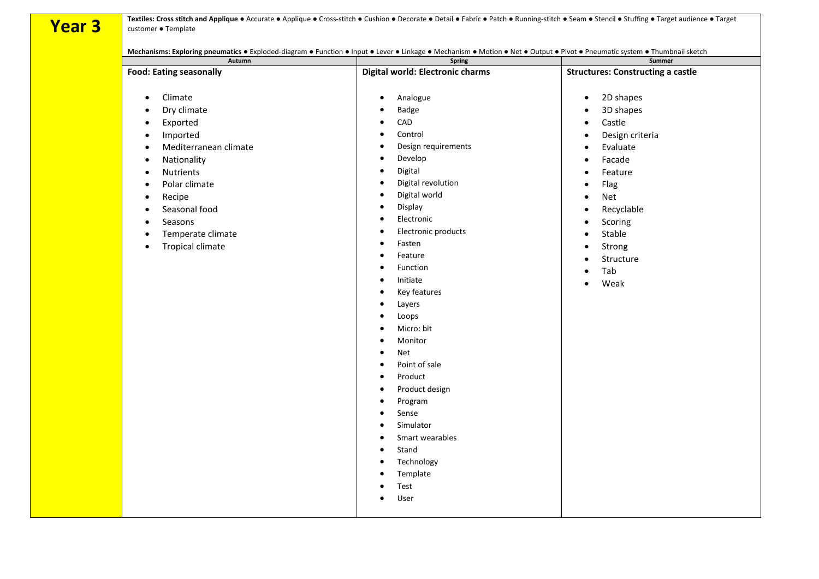**Year 3 Textiles: Cross stitch and Applique ●** Accurate ● Applique ● Cross-stitch ● Cushion ● Decorate ● Detail ● Fabric ● Patch ● Running-stitch ● Seam ● Stencil ● Stuffing ● Target audience ● Target audience ● Target customer ● Template

**Mechanisms: Exploring pneumatics** ● Exploded-diagram ● Function ● Input ● Lever ● Linkage ● Mechanism ● Motion ● Net ● Output ● Pivot ● Pneumatic system ● Thumbnail sketch

| Autumn                                                                                                                                                                                                                                                                                                                                                                              | Spring                                                                                                                                                                                                                                                                                                                                                                                                                                                                                                                                                                                                                                                                                                                                                                                                                                                                            | Summer                                                                                                                                                                                                                                                                                                                                                                                       |
|-------------------------------------------------------------------------------------------------------------------------------------------------------------------------------------------------------------------------------------------------------------------------------------------------------------------------------------------------------------------------------------|-----------------------------------------------------------------------------------------------------------------------------------------------------------------------------------------------------------------------------------------------------------------------------------------------------------------------------------------------------------------------------------------------------------------------------------------------------------------------------------------------------------------------------------------------------------------------------------------------------------------------------------------------------------------------------------------------------------------------------------------------------------------------------------------------------------------------------------------------------------------------------------|----------------------------------------------------------------------------------------------------------------------------------------------------------------------------------------------------------------------------------------------------------------------------------------------------------------------------------------------------------------------------------------------|
| <b>Food: Eating seasonally</b>                                                                                                                                                                                                                                                                                                                                                      | Digital world: Electronic charms                                                                                                                                                                                                                                                                                                                                                                                                                                                                                                                                                                                                                                                                                                                                                                                                                                                  | <b>Structures: Constructing a castle</b>                                                                                                                                                                                                                                                                                                                                                     |
| Climate<br>$\bullet$<br>Dry climate<br>$\bullet$<br>Exported<br>$\bullet$<br>Imported<br>$\bullet$<br>Mediterranean climate<br>$\bullet$<br>Nationality<br>$\bullet$<br>Nutrients<br>$\bullet$<br>Polar climate<br>$\bullet$<br>Recipe<br>$\bullet$<br>Seasonal food<br>$\bullet$<br>Seasons<br>$\bullet$<br>Temperate climate<br>$\bullet$<br><b>Tropical climate</b><br>$\bullet$ | Analogue<br>$\bullet$<br>Badge<br>$\bullet$<br>CAD<br>$\bullet$<br>Control<br>$\bullet$<br>Design requirements<br>$\bullet$<br>Develop<br>$\bullet$<br>Digital<br>$\bullet$<br>Digital revolution<br>$\bullet$<br>Digital world<br>$\bullet$<br>Display<br>$\bullet$<br>Electronic<br>$\bullet$<br>Electronic products<br>$\bullet$<br>Fasten<br>$\bullet$<br>Feature<br>$\bullet$<br>Function<br>$\bullet$<br>Initiate<br>$\bullet$<br>Key features<br>$\bullet$<br>Layers<br>$\bullet$<br>Loops<br>$\bullet$<br>Micro: bit<br>$\bullet$<br>Monitor<br>$\bullet$<br>Net<br>$\bullet$<br>Point of sale<br>$\bullet$<br>Product<br>$\bullet$<br>Product design<br>$\bullet$<br>Program<br>$\bullet$<br>Sense<br>$\bullet$<br>Simulator<br>$\bullet$<br>Smart wearables<br>$\bullet$<br>Stand<br>$\bullet$<br>Technology<br>$\bullet$<br>Template<br>$\bullet$<br>Test<br>$\bullet$ | 2D shapes<br>$\bullet$<br>3D shapes<br>$\bullet$<br>Castle<br>$\bullet$<br>Design criteria<br>$\bullet$<br>Evaluate<br>$\bullet$<br>Facade<br>$\bullet$<br>Feature<br>$\bullet$<br>Flag<br>$\bullet$<br>Net<br>$\bullet$<br>Recyclable<br>$\bullet$<br>Scoring<br>$\bullet$<br>Stable<br>$\bullet$<br>Strong<br>$\bullet$<br>Structure<br>$\bullet$<br>Tab<br>$\bullet$<br>Weak<br>$\bullet$ |
|                                                                                                                                                                                                                                                                                                                                                                                     | User<br>$\bullet$                                                                                                                                                                                                                                                                                                                                                                                                                                                                                                                                                                                                                                                                                                                                                                                                                                                                 |                                                                                                                                                                                                                                                                                                                                                                                              |
|                                                                                                                                                                                                                                                                                                                                                                                     |                                                                                                                                                                                                                                                                                                                                                                                                                                                                                                                                                                                                                                                                                                                                                                                                                                                                                   |                                                                                                                                                                                                                                                                                                                                                                                              |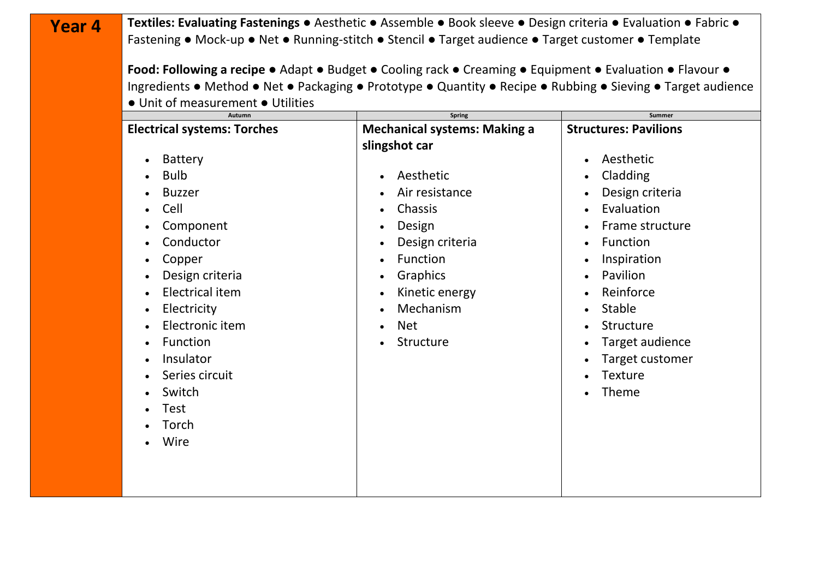| Year 4 | Textiles: Evaluating Fastenings • Aesthetic • Assemble • Book sleeve • Design criteria • Evaluation • Fabric •<br>Fastening • Mock-up • Net • Running-stitch • Stencil • Target audience • Target customer • Template                                                                                                              |                                                                                                                                                                                                                                             |                                                                                                                                                                                                                                                          |  |
|--------|------------------------------------------------------------------------------------------------------------------------------------------------------------------------------------------------------------------------------------------------------------------------------------------------------------------------------------|---------------------------------------------------------------------------------------------------------------------------------------------------------------------------------------------------------------------------------------------|----------------------------------------------------------------------------------------------------------------------------------------------------------------------------------------------------------------------------------------------------------|--|
|        | Food: Following a recipe • Adapt • Budget • Cooling rack • Creaming • Equipment • Evaluation • Flavour •<br>Ingredients • Method • Net • Packaging • Prototype • Quantity • Recipe • Rubbing • Sieving • Target audience                                                                                                           |                                                                                                                                                                                                                                             |                                                                                                                                                                                                                                                          |  |
|        | • Unit of measurement • Utilities<br><b>Autumn</b><br><b>Electrical systems: Torches</b><br><b>Battery</b><br><b>Bulb</b><br><b>Buzzer</b><br>Cell<br>Component<br>Conductor<br>Copper<br>Design criteria<br><b>Electrical item</b><br>Electricity<br>Electronic item<br>Function<br>Insulator<br>Series circuit<br>Switch<br>Test | <b>Spring</b><br><b>Mechanical systems: Making a</b><br>slingshot car<br>Aesthetic<br>Air resistance<br>Chassis<br>Design<br>$\bullet$<br>Design criteria<br>Function<br>Graphics<br>Kinetic energy<br>Mechanism<br><b>Net</b><br>Structure | Summer<br><b>Structures: Pavilions</b><br>Aesthetic<br>Cladding<br>Design criteria<br>Evaluation<br>Frame structure<br>Function<br>Inspiration<br>Pavilion<br>Reinforce<br>Stable<br>Structure<br>Target audience<br>Target customer<br>Texture<br>Theme |  |
|        | Torch<br>Wire                                                                                                                                                                                                                                                                                                                      |                                                                                                                                                                                                                                             |                                                                                                                                                                                                                                                          |  |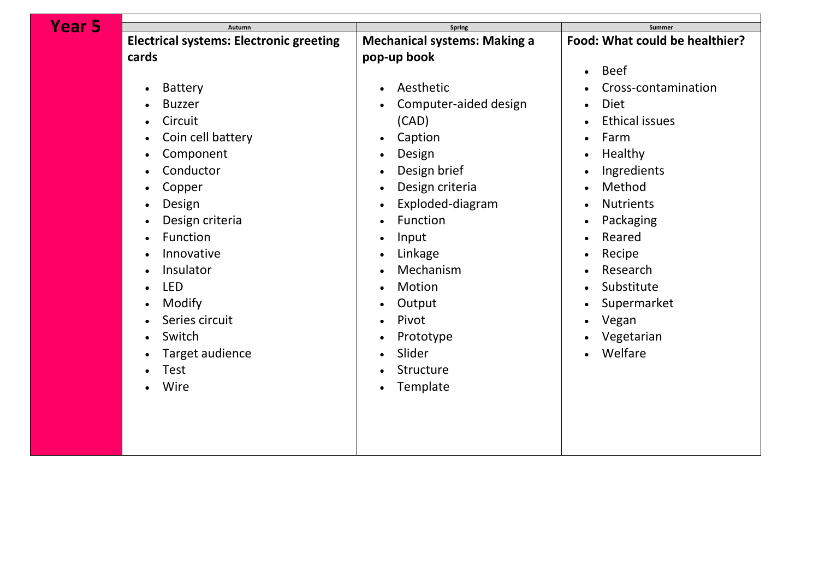| Year 5 | Autumn                                         | <b>Spring</b>                       | Summer                         |
|--------|------------------------------------------------|-------------------------------------|--------------------------------|
|        | <b>Electrical systems: Electronic greeting</b> | <b>Mechanical systems: Making a</b> | Food: What could be healthier? |
|        | cards                                          | pop-up book                         |                                |
|        |                                                |                                     | <b>Beef</b><br>$\bullet$       |
|        | <b>Battery</b>                                 | Aesthetic                           | Cross-contamination            |
|        | <b>Buzzer</b>                                  | Computer-aided design               | <b>Diet</b><br>$\bullet$       |
|        | Circuit                                        | (CAD)                               | <b>Ethical issues</b>          |
|        | Coin cell battery                              | Caption<br>$\bullet$                | Farm                           |
|        | Component                                      | Design<br>$\bullet$                 | Healthy                        |
|        | Conductor                                      | Design brief<br>$\bullet$           | Ingredients                    |
|        | Copper                                         | Design criteria<br>$\bullet$        | Method                         |
|        | Design                                         | Exploded-diagram<br>$\bullet$       | <b>Nutrients</b>               |
|        | Design criteria                                | Function<br>$\bullet$               | Packaging                      |
|        | Function                                       | Input<br>$\bullet$                  | Reared                         |
|        | Innovative                                     | Linkage                             | Recipe                         |
|        | Insulator                                      | Mechanism<br>$\bullet$              | Research                       |
|        | <b>LED</b>                                     | Motion<br>$\bullet$                 | Substitute                     |
|        | Modify                                         | Output<br>$\bullet$                 | Supermarket                    |
|        | Series circuit                                 | Pivot<br>$\bullet$                  | Vegan                          |
|        | Switch                                         | Prototype                           | Vegetarian                     |
|        | Target audience                                | Slider<br>$\bullet$                 | Welfare                        |
|        | Test                                           | Structure<br>$\bullet$              |                                |
|        | Wire                                           | Template<br>$\bullet$               |                                |
|        |                                                |                                     |                                |
|        |                                                |                                     |                                |
|        |                                                |                                     |                                |
|        |                                                |                                     |                                |